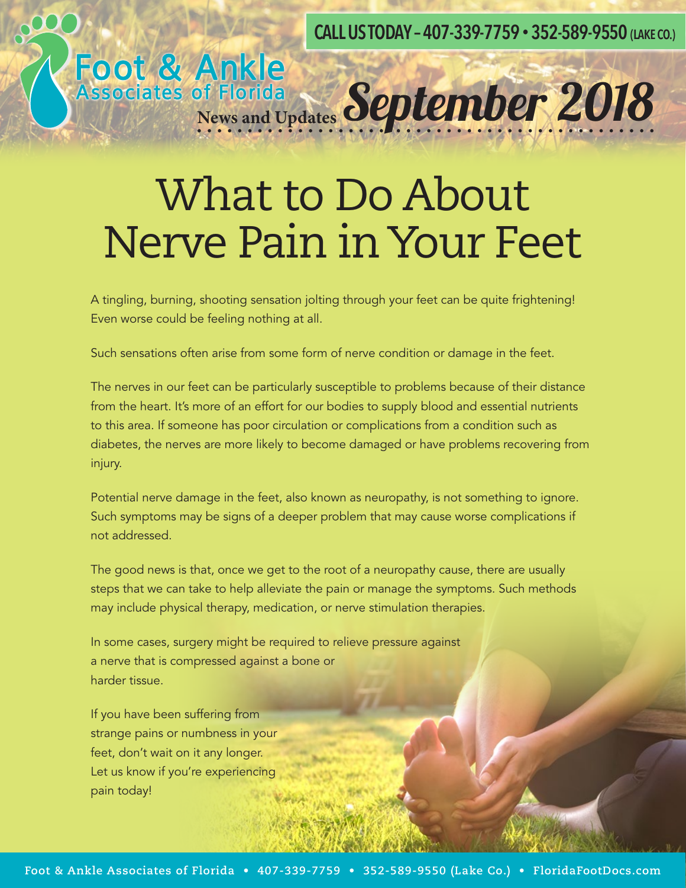**CALL US TODAY – 407-339-7759 • 352-589-9550 (LAKE CO.)**

#### What to Do About Nerve Pain in Your Feet

Foot & Ankle<br>Associates of Florida<br>News and Updates September 2018

A tingling, burning, shooting sensation jolting through your feet can be quite frightening! Even worse could be feeling nothing at all.

Such sensations often arise from some form of nerve condition or damage in the feet.

The nerves in our feet can be particularly susceptible to problems because of their distance from the heart. It's more of an effort for our bodies to supply blood and essential nutrients to this area. If someone has poor circulation or complications from a condition such as diabetes, the nerves are more likely to become damaged or have problems recovering from injury.

Potential nerve damage in the feet, also known as neuropathy, is not something to ignore. Such symptoms may be signs of a deeper problem that may cause worse complications if not addressed.

The good news is that, once we get to the root of a neuropathy cause, there are usually steps that we can take to help alleviate the pain or manage the symptoms. Such methods may include physical therapy, medication, or nerve stimulation therapies.

In some cases, surgery might be required to relieve pressure against a nerve that is compressed against a bone or harder tissue.

If you have been suffering from strange pains or numbness in your feet, don't wait on it any longer. Let us know if you're experiencing pain today!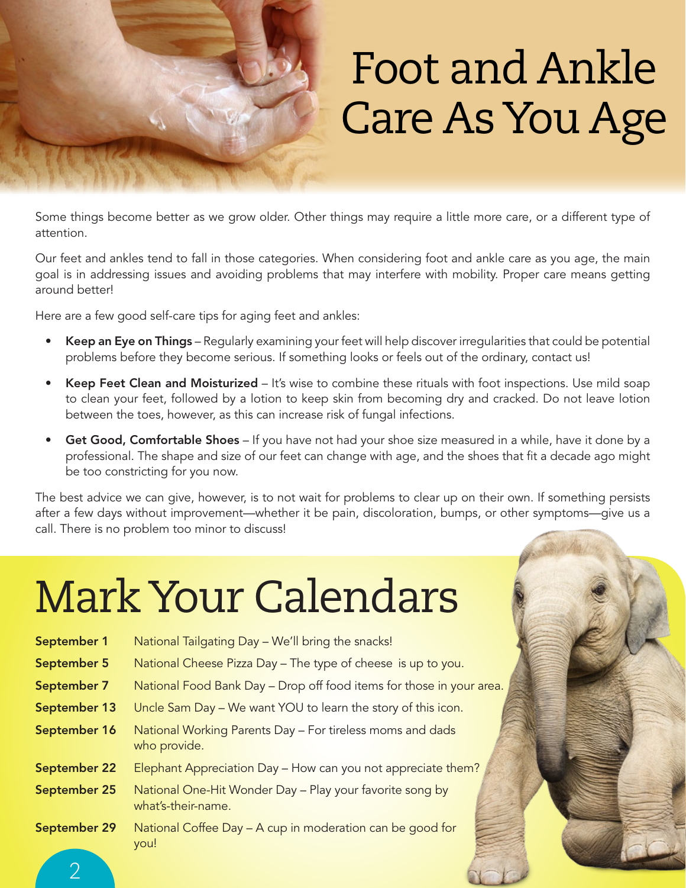

## Foot and Ankle Care As You Age

Some things become better as we grow older. Other things may require a little more care, or a different type of attention.

Our feet and ankles tend to fall in those categories. When considering foot and ankle care as you age, the main goal is in addressing issues and avoiding problems that may interfere with mobility. Proper care means getting around better!

Here are a few good self-care tips for aging feet and ankles:

- Keep an Eye on Things Regularly examining your feet will help discover irregularities that could be potential problems before they become serious. If something looks or feels out of the ordinary, contact us!
- Keep Feet Clean and Moisturized It's wise to combine these rituals with foot inspections. Use mild soap to clean your feet, followed by a lotion to keep skin from becoming dry and cracked. Do not leave lotion between the toes, however, as this can increase risk of fungal infections.
- Get Good, Comfortable Shoes If you have not had your shoe size measured in a while, have it done by a professional. The shape and size of our feet can change with age, and the shoes that fit a decade ago might be too constricting for you now.

The best advice we can give, however, is to not wait for problems to clear up on their own. If something persists after a few days without improvement—whether it be pain, discoloration, bumps, or other symptoms—give us a call. There is no problem too minor to discuss!

# Mark Your Calendars

| September 1         | National Tailgating Day – We'll bring the snacks!                              |
|---------------------|--------------------------------------------------------------------------------|
| September 5         | National Cheese Pizza Day - The type of cheese is up to you.                   |
| September 7         | National Food Bank Day - Drop off food items for those in your area.           |
| September 13        | Uncle Sam Day - We want YOU to learn the story of this icon.                   |
| September 16        | National Working Parents Day - For tireless moms and dads<br>who provide.      |
| <b>September 22</b> | Elephant Appreciation Day - How can you not appreciate them?                   |
| September 25        | National One-Hit Wonder Day - Play your favorite song by<br>what's-their-name. |
| September 29        | National Coffee Day - A cup in moderation can be good for<br>you!              |

 $\overline{\mathcal{C}}$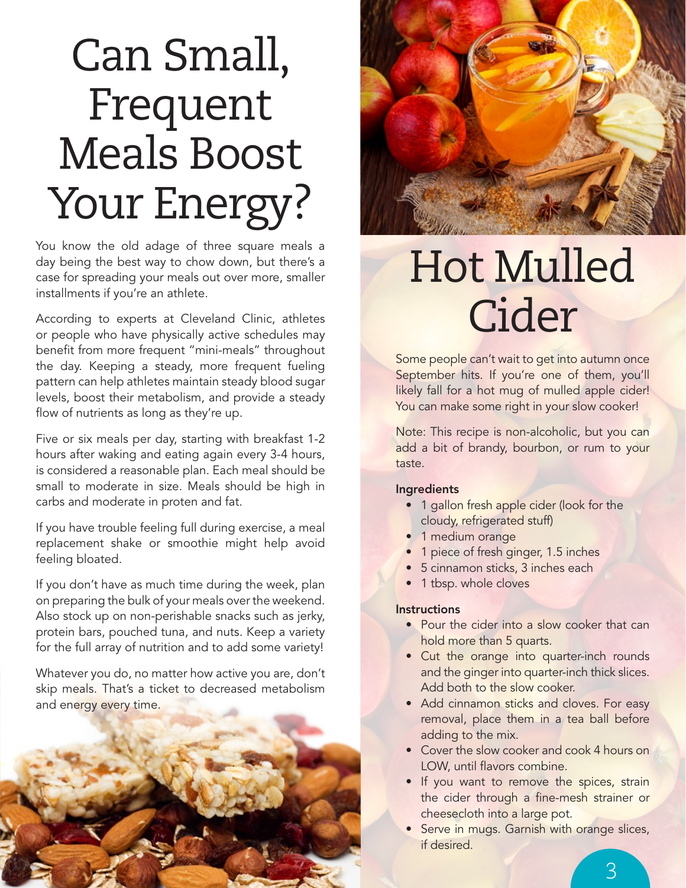### Can Small, Frequent Meals Boost Your Energy?

You know the old adage of three square meals a day being the best way to chow down, but there's a case for spreading your meals out over more, smaller installments if you're an athlete.

According to experts at Cleveland Clinic, athletes or people who have physically active schedules may benefit from more frequent "mini-meals" throughout the day. Keeping a steady, more frequent fueling pattern can help athletes maintain steady blood sugar levels, boost their metabolism, and provide a steady flow of nutrients as long as they're up.

Five or six meals per day, starting with breakfast 1-2 hours after waking and eating again every 3-4 hours, is considered a reasonable plan. Each meal should be small to moderate in size. Meals should be high in carbs and moderate in proten and fat.

If you have trouble feeling full during exercise, a meal replacement shake or smoothie might help avoid feeling bloated.

If you don't have as much time during the week, plan on preparing the bulk of your meals over the weekend. Also stock up on non-perishable snacks such as jerky, protein bars, pouched tuna, and nuts. Keep a variety for the full array of nutrition and to add some variety!

Whatever you do, no matter how active you are, don't skip meals. That's a ticket to decreased metabolism and energy every time.



### Hot Mulled Cider

Some people can't wait to get into autumn once September hits. If you're one of them, you'll likely fall for a hot mug of mulled apple cider! You can make some right in your slow cooker!

Note: This recipe is non-alcoholic, but you can add a bit of brandy, bourbon, or rum to your taste.

#### **Ingredients**

- 1 gallon fresh apple cider (look for the cloudy, refrigerated stuff)
- 1 medium orange
- 1 piece of fresh ginger, 1.5 inches
- 5 cinnamon sticks, 3 inches each
- 1 tbsp. whole cloves

#### **Instructions**

- Pour the cider into a slow cooker that can hold more than 5 quarts.
- Cut the orange into quarter-inch rounds and the ginger into quarter-inch thick slices. Add both to the slow cooker.
- Add cinnamon sticks and cloves. For easy removal, place them in a tea ball before adding to the mix.
- Cover the slow cooker and cook 4 hours on LOW, until flavors combine.
- If you want to remove the spices, strain the cider through a fine-mesh strainer or cheesecloth into a large pot.
- Serve in mugs. Garnish with orange slices, if desired.

3